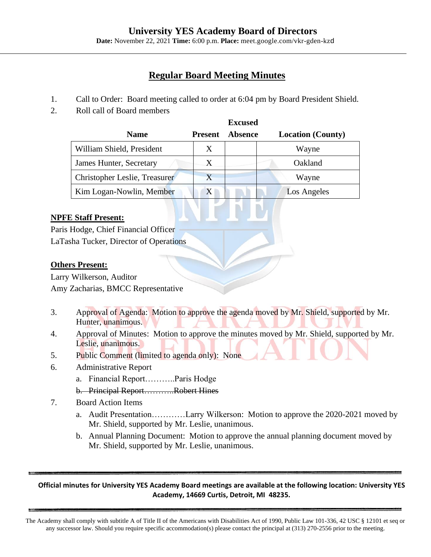# **University YES Academy Board of Directors**

**Date:** November 22, 2021 **Time:** 6:00 p.m. **Place:** meet.google.com/vkr-gden-kzd

# **Regular Board Meeting Minutes**

- 1. Call to Order: Board meeting called to order at 6:04 pm by Board President Shield.
- 2. Roll call of Board members

|                               |                | <b>Excused</b> |                          |
|-------------------------------|----------------|----------------|--------------------------|
| <b>Name</b>                   | <b>Present</b> | <b>Absence</b> | <b>Location</b> (County) |
| William Shield, President     | X              |                | Wayne                    |
| James Hunter, Secretary       | Χ              |                | Oakland                  |
| Christopher Leslie, Treasurer | $\rm X$        |                | Wayne                    |
| Kim Logan-Nowlin, Member      | X              |                | Los Angeles              |

## **NPFE Staff Present:**

Paris Hodge, Chief Financial Officer LaTasha Tucker, Director of Operations

## **Others Present:**

Larry Wilkerson, Auditor Amy Zacharias, BMCC Representative

- 3. Approval of Agenda: Motion to approve the agenda moved by Mr. Shield, supported by Mr. Hunter, unanimous.
- 4. Approval of Minutes: Motion to approve the minutes moved by Mr. Shield, supported by Mr. Leslie, unanimous.
- 5. Public Comment (limited to agenda only): None
- 6. Administrative Report
	- a. Financial Report………..Paris Hodge
	- b. Principal Report………..Robert Hines
- 7. Board Action Items
	- a. Audit Presentation…………Larry Wilkerson: Motion to approve the 2020-2021 moved by Mr. Shield, supported by Mr. Leslie, unanimous.
	- b. Annual Planning Document: Motion to approve the annual planning document moved by Mr. Shield, supported by Mr. Leslie, unanimous.

#### **Official minutes for University YES Academy Board meetings are available at the following location: University YES Academy, 14669 Curtis, Detroit, MI 48235.**

The Academy shall comply with subtitle A of Title II of the Americans with Disabilities Act of 1990, Public Law 101-336, 42 USC § 12101 et seq or any successor law. Should you require specific accommodation(s) please contact the principal at (313) 270-2556 prior to the meeting.